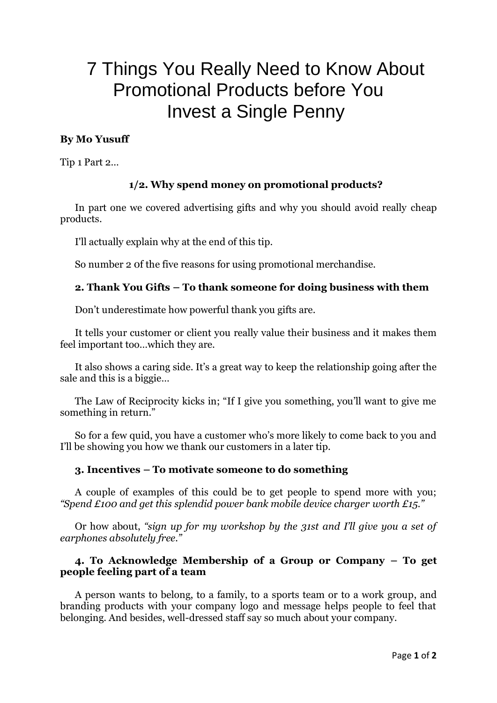# 7 Things You Really Need to Know About Promotional Products before You Invest a Single Penny

## **By Mo Yusuff**

Tip 1 Part 2…

## **1/2. Why spend money on promotional products?**

In part one we covered advertising gifts and why you should avoid really cheap products.

I'll actually explain why at the end of this tip.

So number 2 0f the five reasons for using promotional merchandise.

## **2. Thank You Gifts – To thank someone for doing business with them**

Don't underestimate how powerful thank you gifts are.

It tells your customer or client you really value their business and it makes them feel important too…which they are.

It also shows a caring side. It's a great way to keep the relationship going after the sale and this is a biggie…

The Law of Reciprocity kicks in; "If I give you something, you'll want to give me something in return."

So for a few quid, you have a customer who's more likely to come back to you and I'll be showing you how we thank our customers in a later tip.

#### **3. Incentives – To motivate someone to do something**

A couple of examples of this could be to get people to spend more with you; *"Spend £100 and get this splendid power bank mobile device charger worth £15."*

Or how about, *"sign up for my workshop by the 31st and I'll give you a set of earphones absolutely free."*

### **4. To Acknowledge Membership of a Group or Company – To get people feeling part of a team**

A person wants to belong, to a family, to a sports team or to a work group, and branding products with your company logo and message helps people to feel that belonging. And besides, well-dressed staff say so much about your company.